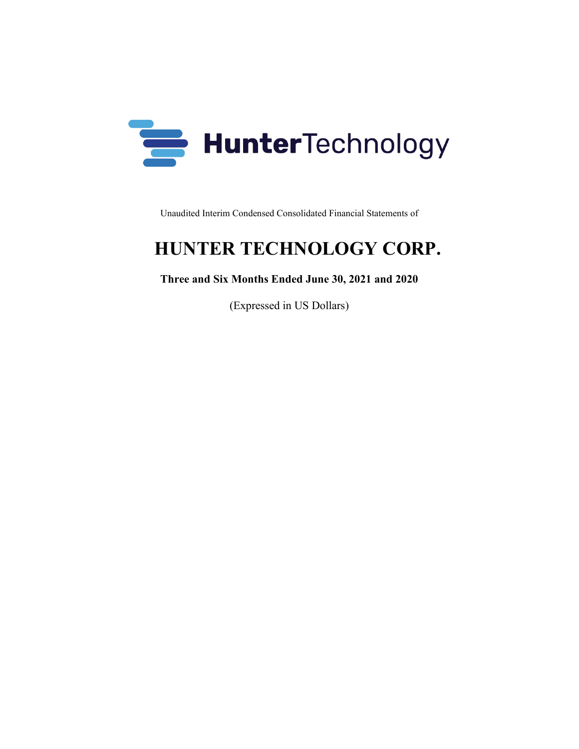

Unaudited Interim Condensed Consolidated Financial Statements of

# **HUNTER TECHNOLOGY CORP.**

### **Three and Six Months Ended June 30, 2021 and 2020**

(Expressed in US Dollars)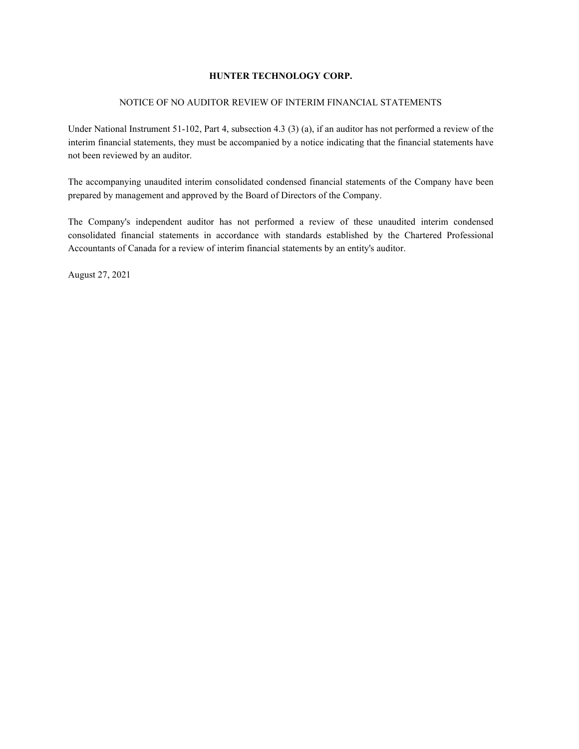#### NOTICE OF NO AUDITOR REVIEW OF INTERIM FINANCIAL STATEMENTS

Under National Instrument 51-102, Part 4, subsection 4.3 (3) (a), if an auditor has not performed a review of the interim financial statements, they must be accompanied by a notice indicating that the financial statements have not been reviewed by an auditor.

The accompanying unaudited interim consolidated condensed financial statements of the Company have been prepared by management and approved by the Board of Directors of the Company.

The Company's independent auditor has not performed a review of these unaudited interim condensed consolidated financial statements in accordance with standards established by the Chartered Professional Accountants of Canada for a review of interim financial statements by an entity's auditor.

August 27, 2021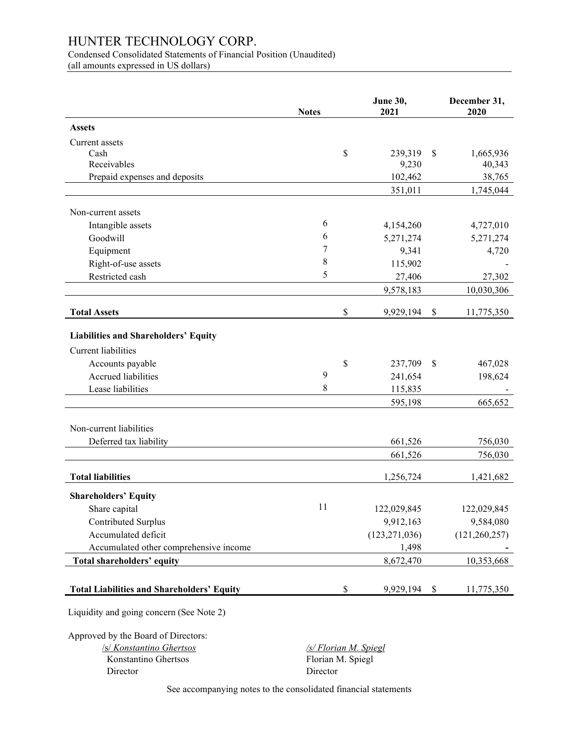Condensed Consolidated Statements of Financial Position (Unaudited) (all amounts expressed in US dollars)

|                                                   | <b>Notes</b> | June 30,<br>2021 | December 31,<br>2020 |
|---------------------------------------------------|--------------|------------------|----------------------|
| <b>Assets</b>                                     |              |                  |                      |
| Current assets                                    |              |                  |                      |
| Cash                                              |              | \$<br>239,319    | \$<br>1,665,936      |
| Receivables                                       |              | 9,230            | 40,343               |
| Prepaid expenses and deposits                     |              | 102,462          | 38,765               |
|                                                   |              | 351,011          | 1,745,044            |
| Non-current assets                                |              |                  |                      |
| Intangible assets                                 | 6            | 4,154,260        | 4,727,010            |
| Goodwill                                          | 6            | 5,271,274        | 5,271,274            |
| Equipment                                         | 7            | 9,341            | 4,720                |
| Right-of-use assets                               | 8            | 115,902          |                      |
| Restricted cash                                   | 5            | 27,406           | 27,302               |
|                                                   |              | 9,578,183        | 10,030,306           |
|                                                   |              |                  |                      |
| <b>Total Assets</b>                               |              | \$<br>9,929,194  | \$<br>11,775,350     |
| <b>Liabilities and Shareholders' Equity</b>       |              |                  |                      |
| <b>Current</b> liabilities                        |              |                  |                      |
| Accounts payable                                  |              | \$<br>237,709    | \$<br>467,028        |
| <b>Accrued liabilities</b>                        | 9            | 241,654          | 198,624              |
| Lease liabilities                                 | 8            | 115,835          |                      |
|                                                   |              | 595,198          | 665,652              |
|                                                   |              |                  |                      |
| Non-current liabilities                           |              |                  |                      |
| Deferred tax liability                            |              | 661,526          | 756,030              |
|                                                   |              | 661,526          | 756,030              |
| <b>Total liabilities</b>                          |              | 1,256,724        | 1,421,682            |
|                                                   |              |                  |                      |
| <b>Shareholders' Equity</b>                       | 11           |                  |                      |
| Share capital                                     |              | 122,029,845      | 122,029,845          |
| Contributed Surplus                               |              | 9,912,163        | 9,584,080            |
| Accumulated deficit                               |              | (123, 271, 036)  | (121, 260, 257)      |
| Accumulated other comprehensive income            |              | 1,498            |                      |
| Total shareholders' equity                        |              | 8,672,470        | 10,353,668           |
| <b>Total Liabilities and Shareholders' Equity</b> |              | \$<br>9,929,194  | \$<br>11,775,350     |
| Liquidity and going concern (See Note 2)          |              |                  |                      |

Approved by the Board of Directors:

**Konstantino Ghertsos** 

/s/ *Konstantino Ghertsos /s/ Florian M. Spiegl* Director Director

See accompanying notes to the consolidated financial statements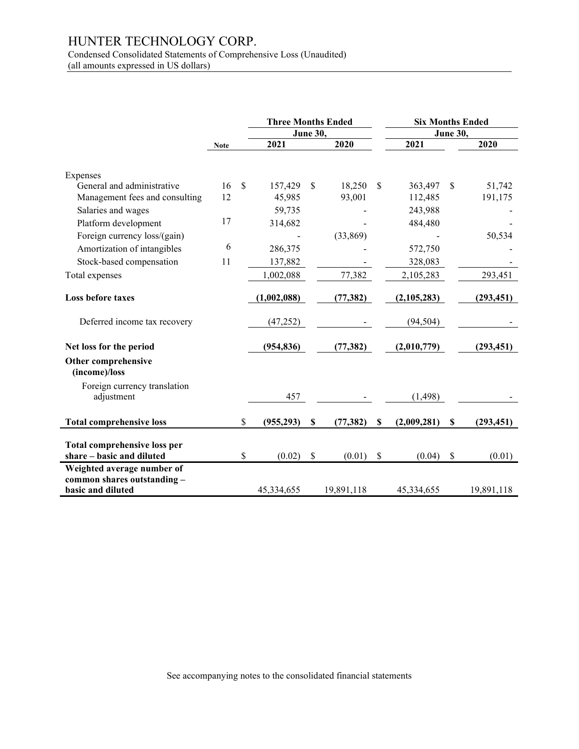Condensed Consolidated Statements of Comprehensive Loss (Unaudited) (all amounts expressed in US dollars)

|                                                           |             |                    | <b>Three Months Ended</b> |                 |            | <b>Six Months Ended</b> |             |                           |            |
|-----------------------------------------------------------|-------------|--------------------|---------------------------|-----------------|------------|-------------------------|-------------|---------------------------|------------|
|                                                           |             |                    |                           | <b>June 30,</b> |            |                         |             | <b>June 30,</b>           |            |
|                                                           | <b>Note</b> |                    | 2021                      |                 | 2020       |                         | 2021        |                           | 2020       |
|                                                           |             |                    |                           |                 |            |                         |             |                           |            |
| Expenses                                                  |             |                    |                           |                 |            |                         |             |                           |            |
| General and administrative                                | 16          | $\mathbf{\hat{s}}$ | 157,429                   | \$              | 18,250     | <sup>\$</sup>           | 363,497     | \$.                       | 51,742     |
| Management fees and consulting                            | 12          |                    | 45,985                    |                 | 93,001     |                         | 112,485     |                           | 191,175    |
| Salaries and wages                                        |             |                    | 59,735                    |                 |            |                         | 243,988     |                           |            |
| Platform development                                      | 17          |                    | 314,682                   |                 |            |                         | 484,480     |                           |            |
| Foreign currency loss/(gain)                              |             |                    |                           |                 | (33,869)   |                         |             |                           | 50,534     |
| Amortization of intangibles                               | 6           |                    | 286,375                   |                 |            |                         | 572,750     |                           |            |
| Stock-based compensation                                  | 11          |                    | 137,882                   |                 |            |                         | 328,083     |                           |            |
| Total expenses                                            |             |                    | 1,002,088                 |                 | 77,382     |                         | 2,105,283   |                           | 293,451    |
|                                                           |             |                    |                           |                 |            |                         |             |                           |            |
| <b>Loss before taxes</b>                                  |             |                    | (1,002,088)               |                 | (77, 382)  |                         | (2,105,283) |                           | (293, 451) |
|                                                           |             |                    |                           |                 |            |                         |             |                           |            |
| Deferred income tax recovery                              |             |                    | (47, 252)                 |                 |            |                         | (94, 504)   |                           |            |
| Net loss for the period                                   |             |                    | (954, 836)                |                 | (77, 382)  |                         | (2,010,779) |                           | (293, 451) |
| Other comprehensive                                       |             |                    |                           |                 |            |                         |             |                           |            |
| (income)/loss                                             |             |                    |                           |                 |            |                         |             |                           |            |
| Foreign currency translation                              |             |                    |                           |                 |            |                         |             |                           |            |
| adjustment                                                |             |                    | 457                       |                 |            |                         | (1, 498)    |                           |            |
|                                                           |             |                    |                           |                 |            |                         |             |                           |            |
| <b>Total comprehensive loss</b>                           |             | \$                 | (955, 293)                | $\mathbf{s}$    | (77, 382)  | \$                      | (2,009,281) | $\boldsymbol{\mathsf{s}}$ | (293, 451) |
|                                                           |             |                    |                           |                 |            |                         |             |                           |            |
| <b>Total comprehensive loss per</b>                       |             |                    |                           |                 |            |                         |             |                           |            |
| share - basic and diluted                                 |             | \$                 | (0.02)                    | \$              | (0.01)     | \$                      | (0.04)      | $\mathcal{S}$             | (0.01)     |
| Weighted average number of<br>common shares outstanding - |             |                    |                           |                 |            |                         |             |                           |            |
| basic and diluted                                         |             |                    | 45,334,655                |                 | 19,891,118 |                         | 45,334,655  |                           | 19,891,118 |
|                                                           |             |                    |                           |                 |            |                         |             |                           |            |

See accompanying notes to the consolidated financial statements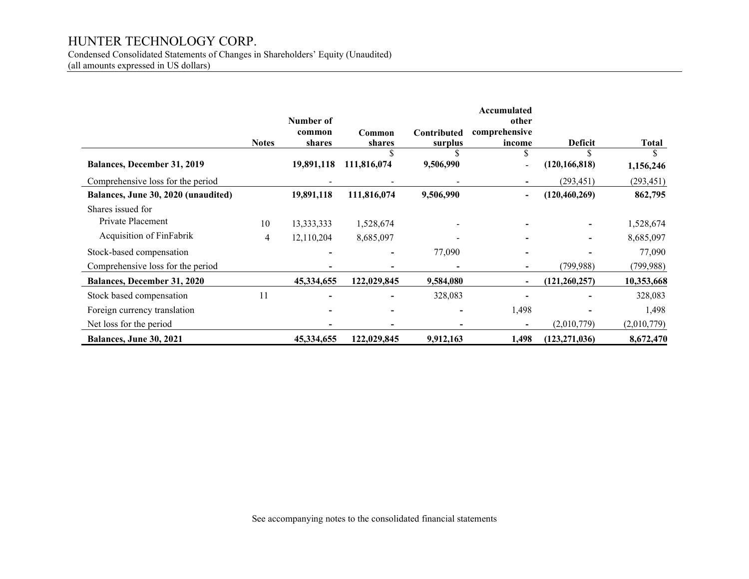Condensed Consolidated Statements of Changes in Shareholders' Equity (Unaudited)

(all amounts expressed in US dollars)

|                                     |              | Number of        |                  |                        | Accumulated<br>other     |                 |              |
|-------------------------------------|--------------|------------------|------------------|------------------------|--------------------------|-----------------|--------------|
|                                     | <b>Notes</b> | common<br>shares | Common<br>shares | Contributed<br>surplus | comprehensive<br>income  | <b>Deficit</b>  | <b>Total</b> |
| <b>Balances, December 31, 2019</b>  |              | 19,891,118       | 111,816,074      | 9,506,990              | $\blacksquare$           | (120, 166, 818) | 1,156,246    |
| Comprehensive loss for the period   |              |                  |                  |                        |                          | (293, 451)      | (293, 451)   |
| Balances, June 30, 2020 (unaudited) |              | 19,891,118       | 111,816,074      | 9,506,990              | $\overline{\phantom{a}}$ | (120, 460, 269) | 862,795      |
| Shares issued for                   |              |                  |                  |                        |                          |                 |              |
| Private Placement                   | 10           | 13,333,333       | 1,528,674        |                        |                          |                 | 1,528,674    |
| <b>Acquisition of FinFabrik</b>     | 4            | 12,110,204       | 8,685,097        |                        |                          |                 | 8,685,097    |
| Stock-based compensation            |              |                  |                  | 77,090                 |                          |                 | 77,090       |
| Comprehensive loss for the period   |              |                  |                  |                        |                          | (799, 988)      | (799, 988)   |
| <b>Balances, December 31, 2020</b>  |              | 45,334,655       | 122,029,845      | 9,584,080              | $\blacksquare$           | (121, 260, 257) | 10,353,668   |
| Stock based compensation            | 11           |                  |                  | 328,083                |                          |                 | 328,083      |
| Foreign currency translation        |              |                  |                  |                        | 1,498                    |                 | 1,498        |
| Net loss for the period             |              |                  |                  |                        | $\overline{\phantom{0}}$ | (2,010,779)     | (2,010,779)  |
| Balances, June 30, 2021             |              | 45,334,655       | 122,029,845      | 9,912,163              | 1,498                    | (123, 271, 036) | 8,672,470    |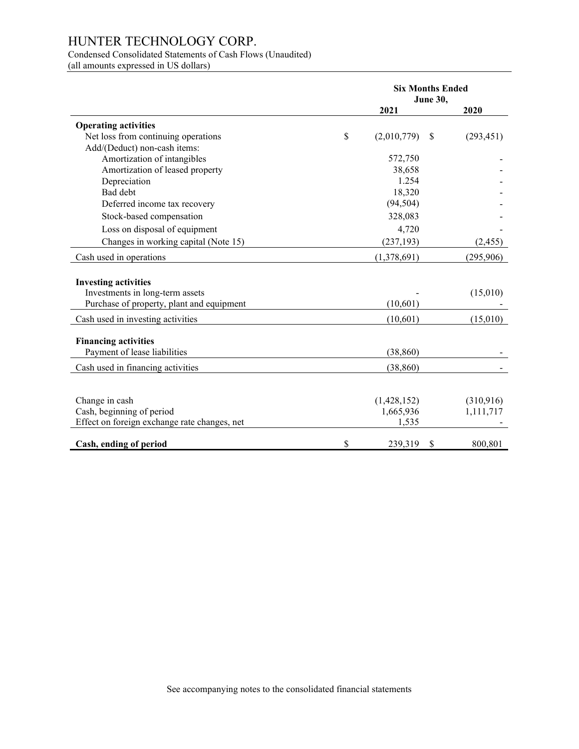### Condensed Consolidated Statements of Cash Flows (Unaudited)

(all amounts expressed in US dollars)

|                                              | <b>Six Months Ended</b><br>June 30, |               |            |
|----------------------------------------------|-------------------------------------|---------------|------------|
|                                              | 2021                                |               | 2020       |
| <b>Operating activities</b>                  |                                     |               |            |
| Net loss from continuing operations          | \$<br>(2,010,779)                   | <sup>\$</sup> | (293, 451) |
| Add/(Deduct) non-cash items:                 |                                     |               |            |
| Amortization of intangibles                  | 572,750                             |               |            |
| Amortization of leased property              | 38,658                              |               |            |
| Depreciation                                 | 1.254                               |               |            |
| Bad debt                                     | 18,320                              |               |            |
| Deferred income tax recovery                 | (94, 504)                           |               |            |
| Stock-based compensation                     | 328,083                             |               |            |
| Loss on disposal of equipment                | 4,720                               |               |            |
| Changes in working capital (Note 15)         | (237, 193)                          |               | (2, 455)   |
| Cash used in operations                      | (1,378,691)                         |               | (295,906)  |
|                                              |                                     |               |            |
| <b>Investing activities</b>                  |                                     |               |            |
| Investments in long-term assets              |                                     |               | (15,010)   |
| Purchase of property, plant and equipment    | (10,601)                            |               |            |
| Cash used in investing activities            | (10,601)                            |               | (15,010)   |
| <b>Financing activities</b>                  |                                     |               |            |
| Payment of lease liabilities                 | (38, 860)                           |               |            |
| Cash used in financing activities            | (38, 860)                           |               |            |
|                                              |                                     |               |            |
|                                              |                                     |               |            |
| Change in cash                               | (1,428,152)                         |               | (310,916)  |
| Cash, beginning of period                    | 1,665,936                           |               | 1,111,717  |
| Effect on foreign exchange rate changes, net | 1,535                               |               |            |
| Cash, ending of period                       | \$<br>239,319                       | \$            | 800,801    |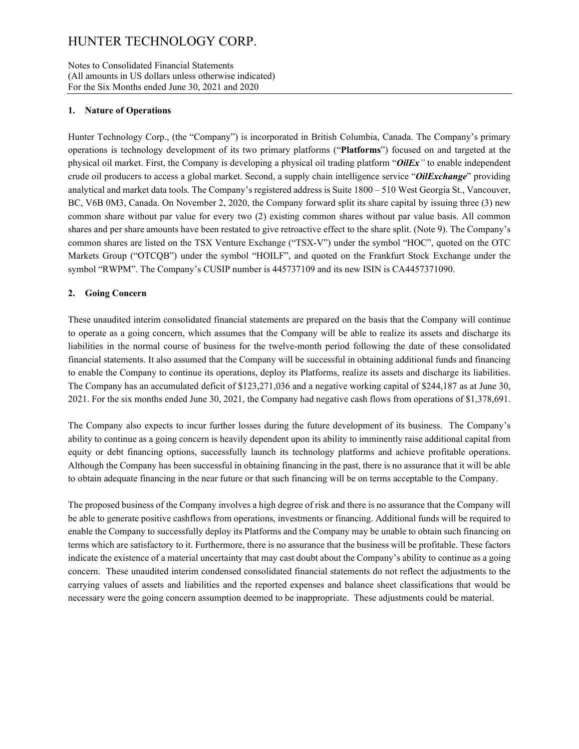#### Notes to Consolidated Financial Statements (All amounts in US dollars unless otherwise indicated) For the Six Months ended June 30, 2021 and 2020

#### **1. Nature of Operations**

Hunter Technology Corp., (the "Company") is incorporated in British Columbia, Canada. The Company's primary operations is technology development of its two primary platforms ("**Platforms**") focused on and targeted at the physical oil market. First, the Company is developing a physical oil trading platform "*OilEx"* to enable independent crude oil producers to access a global market. Second, a supply chain intelligence service "*OilExchange*" providing analytical and market data tools. The Company's registered address is Suite 1800 – 510 West Georgia St., Vancouver, BC, V6B 0M3, Canada. On November 2, 2020, the Company forward split its share capital by issuing three (3) new common share without par value for every two (2) existing common shares without par value basis. All common shares and per share amounts have been restated to give retroactive effect to the share split. (Note 9). The Company's common shares are listed on the TSX Venture Exchange ("TSX-V") under the symbol "HOC", quoted on the OTC Markets Group ("OTCQB") under the symbol "HOILF", and quoted on the Frankfurt Stock Exchange under the symbol "RWPM". The Company's CUSIP number is 445737109 and its new ISIN is CA4457371090.

#### **2. Going Concern**

These unaudited interim consolidated financial statements are prepared on the basis that the Company will continue to operate as a going concern, which assumes that the Company will be able to realize its assets and discharge its liabilities in the normal course of business for the twelve-month period following the date of these consolidated financial statements. It also assumed that the Company will be successful in obtaining additional funds and financing to enable the Company to continue its operations, deploy its Platforms, realize its assets and discharge its liabilities. The Company has an accumulated deficit of \$123,271,036 and a negative working capital of \$244,187 as at June 30, 2021. For the six months ended June 30, 2021, the Company had negative cash flows from operations of \$1,378,691.

The Company also expects to incur further losses during the future development of its business. The Company's ability to continue as a going concern is heavily dependent upon its ability to imminently raise additional capital from equity or debt financing options, successfully launch its technology platforms and achieve profitable operations. Although the Company has been successful in obtaining financing in the past, there is no assurance that it will be able to obtain adequate financing in the near future or that such financing will be on terms acceptable to the Company.

The proposed business of the Company involves a high degree of risk and there is no assurance that the Company will be able to generate positive cashflows from operations, investments or financing. Additional funds will be required to enable the Company to successfully deploy its Platforms and the Company may be unable to obtain such financing on terms which are satisfactory to it. Furthermore, there is no assurance that the business will be profitable. These factors indicate the existence of a material uncertainty that may cast doubt about the Company's ability to continue as a going concern. These unaudited interim condensed consolidated financial statements do not reflect the adjustments to the carrying values of assets and liabilities and the reported expenses and balance sheet classifications that would be necessary were the going concern assumption deemed to be inappropriate. These adjustments could be material.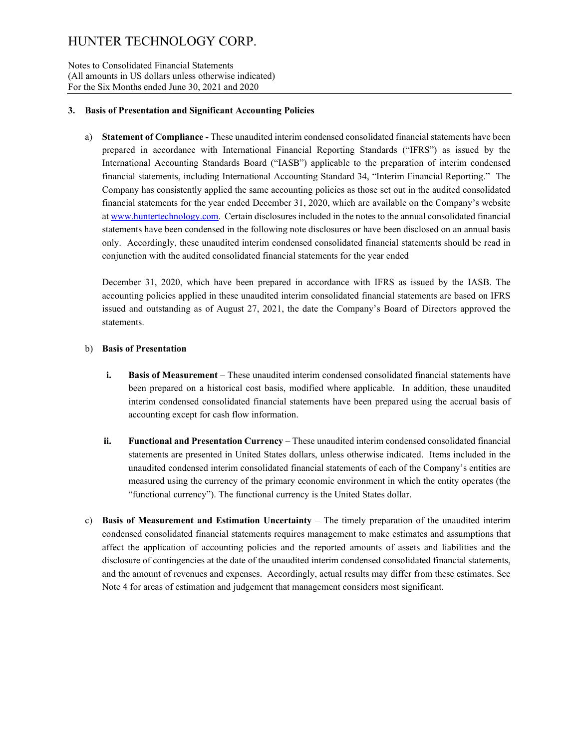Notes to Consolidated Financial Statements (All amounts in US dollars unless otherwise indicated) For the Six Months ended June 30, 2021 and 2020

#### **3. Basis of Presentation and Significant Accounting Policies**

a) **Statement of Compliance -** These unaudited interim condensed consolidated financial statements have been prepared in accordance with International Financial Reporting Standards ("IFRS") as issued by the International Accounting Standards Board ("IASB") applicable to the preparation of interim condensed financial statements, including International Accounting Standard 34, "Interim Financial Reporting." The Company has consistently applied the same accounting policies as those set out in the audited consolidated financial statements for the year ended December 31, 2020, which are available on the Company's website a[t www.huntertechnology.com.](http://www.huntertechnology.com/) Certain disclosures included in the notes to the annual consolidated financial statements have been condensed in the following note disclosures or have been disclosed on an annual basis only. Accordingly, these unaudited interim condensed consolidated financial statements should be read in conjunction with the audited consolidated financial statements for the year ended

December 31, 2020, which have been prepared in accordance with IFRS as issued by the IASB. The accounting policies applied in these unaudited interim consolidated financial statements are based on IFRS issued and outstanding as of August 27, 2021, the date the Company's Board of Directors approved the statements.

#### b) **Basis of Presentation**

- **i. Basis of Measurement** These unaudited interim condensed consolidated financial statements have been prepared on a historical cost basis, modified where applicable. In addition, these unaudited interim condensed consolidated financial statements have been prepared using the accrual basis of accounting except for cash flow information.
- **ii. Functional and Presentation Currency**  These unaudited interim condensed consolidated financial statements are presented in United States dollars, unless otherwise indicated. Items included in the unaudited condensed interim consolidated financial statements of each of the Company's entities are measured using the currency of the primary economic environment in which the entity operates (the "functional currency"). The functional currency is the United States dollar.
- c) **Basis of Measurement and Estimation Uncertainty** The timely preparation of the unaudited interim condensed consolidated financial statements requires management to make estimates and assumptions that affect the application of accounting policies and the reported amounts of assets and liabilities and the disclosure of contingencies at the date of the unaudited interim condensed consolidated financial statements, and the amount of revenues and expenses. Accordingly, actual results may differ from these estimates. See Note 4 for areas of estimation and judgement that management considers most significant.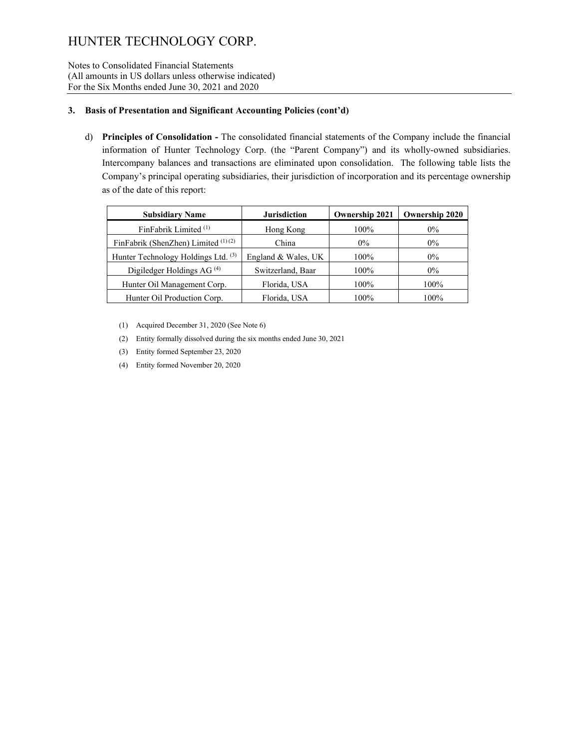Notes to Consolidated Financial Statements (All amounts in US dollars unless otherwise indicated) For the Six Months ended June 30, 2021 and 2020

#### **3. Basis of Presentation and Significant Accounting Policies (cont'd)**

d) **Principles of Consolidation -** The consolidated financial statements of the Company include the financial information of Hunter Technology Corp. (the "Parent Company") and its wholly-owned subsidiaries. Intercompany balances and transactions are eliminated upon consolidation. The following table lists the Company's principal operating subsidiaries, their jurisdiction of incorporation and its percentage ownership as of the date of this report:

| <b>Subsidiary Name</b>                | <b>Jurisdiction</b> | <b>Ownership 2021</b> | <b>Ownership 2020</b> |
|---------------------------------------|---------------------|-----------------------|-----------------------|
| FinFabrik Limited <sup>(1)</sup>      | Hong Kong           | $100\%$               | $0\%$                 |
| FinFabrik (ShenZhen) Limited $(1)(2)$ | China               | $0\%$                 | $0\%$                 |
| Hunter Technology Holdings Ltd. (3)   | England & Wales, UK | $100\%$               | $0\%$                 |
| Digiledger Holdings AG $(4)$          | Switzerland, Baar   | $100\%$               | $0\%$                 |
| Hunter Oil Management Corp.           | Florida, USA        | 100%                  | 100%                  |
| Hunter Oil Production Corp.           | Florida, USA        | 100%                  | 100%                  |

(1) Acquired December 31, 2020 (See Note 6)

- (2) Entity formally dissolved during the six months ended June 30, 2021
- (3) Entity formed September 23, 2020
- (4) Entity formed November 20, 2020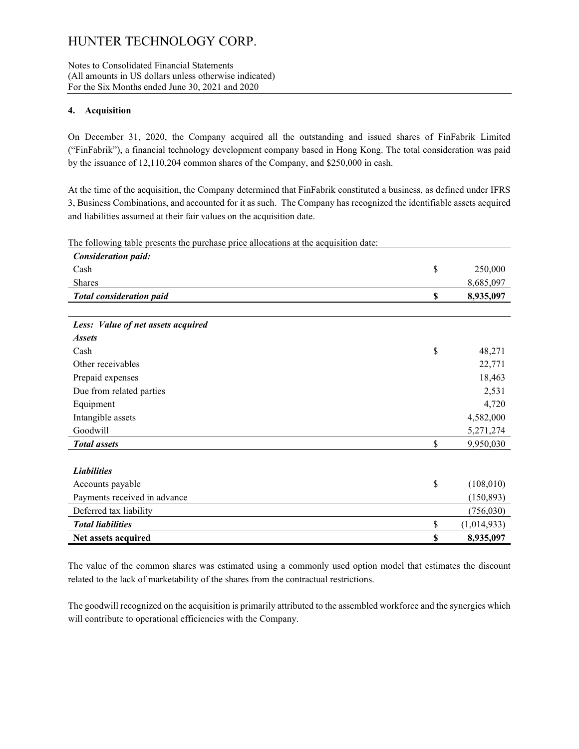#### Notes to Consolidated Financial Statements (All amounts in US dollars unless otherwise indicated) For the Six Months ended June 30, 2021 and 2020

#### **4. Acquisition**

On December 31, 2020, the Company acquired all the outstanding and issued shares of FinFabrik Limited ("FinFabrik"), a financial technology development company based in Hong Kong. The total consideration was paid by the issuance of 12,110,204 common shares of the Company, and \$250,000 in cash.

At the time of the acquisition, the Company determined that FinFabrik constituted a business, as defined under IFRS 3, Business Combinations, and accounted for it as such. The Company has recognized the identifiable assets acquired and liabilities assumed at their fair values on the acquisition date.

| The following table presents the purchase price allocations at the acquisition date: |                   |
|--------------------------------------------------------------------------------------|-------------------|
| <b>Consideration paid:</b>                                                           |                   |
| Cash                                                                                 | \$<br>250,000     |
| <b>Shares</b>                                                                        | 8,685,097         |
| <b>Total consideration paid</b>                                                      | \$<br>8,935,097   |
|                                                                                      |                   |
| Less: Value of net assets acquired                                                   |                   |
| <b>Assets</b>                                                                        |                   |
| Cash                                                                                 | \$<br>48,271      |
| Other receivables                                                                    | 22,771            |
| Prepaid expenses                                                                     | 18,463            |
| Due from related parties                                                             | 2,531             |
| Equipment                                                                            | 4,720             |
| Intangible assets                                                                    | 4,582,000         |
| Goodwill                                                                             | 5,271,274         |
| <b>Total</b> assets                                                                  | \$<br>9,950,030   |
|                                                                                      |                   |
| <b>Liabilities</b>                                                                   |                   |
| Accounts payable                                                                     | \$<br>(108,010)   |
| Payments received in advance                                                         | (150, 893)        |
| Deferred tax liability                                                               | (756,030)         |
| <b>Total liabilities</b>                                                             | \$<br>(1,014,933) |
| Net assets acquired                                                                  | \$<br>8,935,097   |
|                                                                                      |                   |

The value of the common shares was estimated using a commonly used option model that estimates the discount related to the lack of marketability of the shares from the contractual restrictions.

The goodwill recognized on the acquisition is primarily attributed to the assembled workforce and the synergies which will contribute to operational efficiencies with the Company.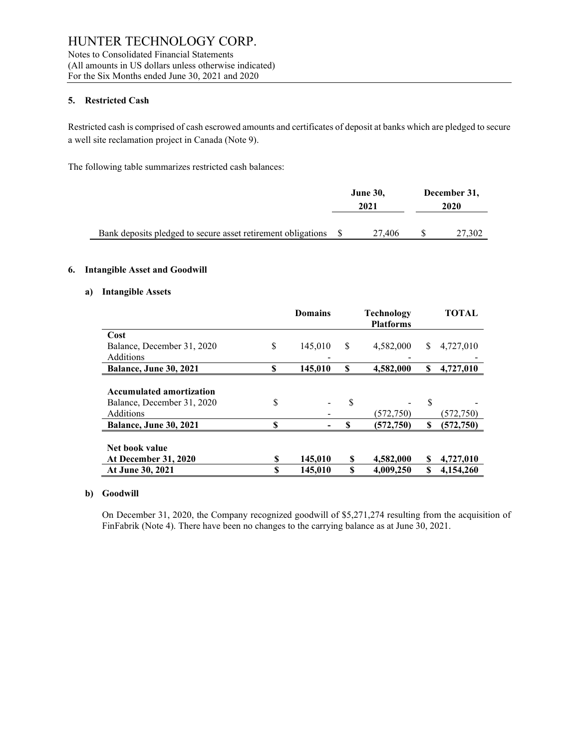Notes to Consolidated Financial Statements (All amounts in US dollars unless otherwise indicated) For the Six Months ended June 30, 2021 and 2020

#### **5. Restricted Cash**

Restricted cash is comprised of cash escrowed amounts and certificates of deposit at banks which are pledged to secure a well site reclamation project in Canada (Note 9).

The following table summarizes restricted cash balances:

|                                                                 | June 30, | December 31, |        |
|-----------------------------------------------------------------|----------|--------------|--------|
|                                                                 | 2021     |              | 2020   |
|                                                                 |          |              |        |
| Bank deposits pledged to secure asset retirement obligations \$ | 27,406   |              | 27,302 |

#### **6. Intangible Asset and Goodwill**

#### **a) Intangible Assets**

|                                     | <b>Domains</b> |    | <b>Technology</b><br><b>Platforms</b> |     | <b>TOTAL</b> |
|-------------------------------------|----------------|----|---------------------------------------|-----|--------------|
|                                     |                |    |                                       |     |              |
| Cost                                |                |    |                                       |     |              |
| \$<br>Balance, December 31, 2020    | 145,010        | S  | 4,582,000                             | \$. | 4,727,010    |
| Additions                           |                |    |                                       |     |              |
| <b>Balance, June 30, 2021</b><br>\$ | 145,010        | S  | 4,582,000                             | S   | 4,727,010    |
|                                     |                |    |                                       |     |              |
| <b>Accumulated amortization</b>     |                |    |                                       |     |              |
| \$<br>Balance, December 31, 2020    |                | S  |                                       | \$  |              |
| Additions                           |                |    | (572, 750)                            |     | (572, 750)   |
| S<br><b>Balance, June 30, 2021</b>  |                | \$ | (572, 750)                            | S   | (572, 750)   |
|                                     |                |    |                                       |     |              |
| Net book value                      |                |    |                                       |     |              |
| S<br><b>At December 31, 2020</b>    | 145,010        | S  | 4,582,000                             | S   | 4,727,010    |
| S<br>At June 30, 2021               | 145,010        | S  | 4,009,250                             | S   | 4,154,260    |

#### **b) Goodwill**

On December 31, 2020, the Company recognized goodwill of \$5,271,274 resulting from the acquisition of FinFabrik (Note 4). There have been no changes to the carrying balance as at June 30, 2021.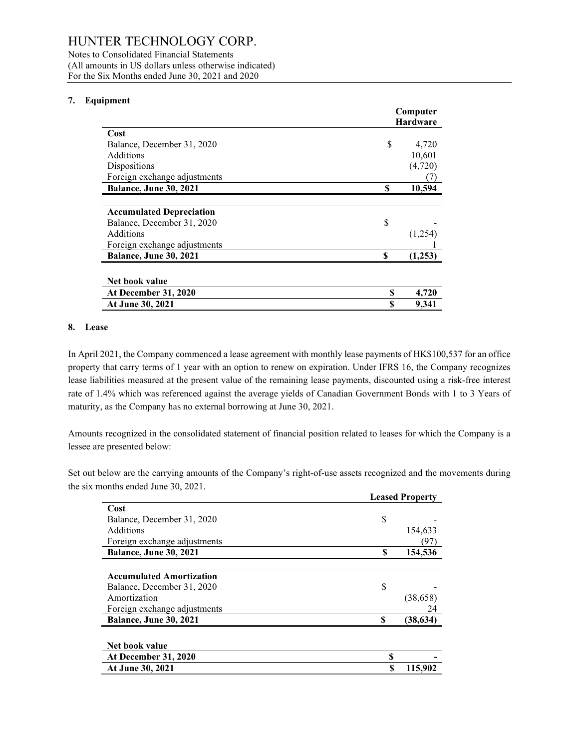Notes to Consolidated Financial Statements (All amounts in US dollars unless otherwise indicated) For the Six Months ended June 30, 2021 and 2020

#### **7. Equipment**

|                                 | Computer |                 |
|---------------------------------|----------|-----------------|
|                                 |          | <b>Hardware</b> |
| Cost                            |          |                 |
| Balance, December 31, 2020      | \$       | 4,720           |
| Additions                       |          | 10,601          |
| Dispositions                    |          | (4,720)         |
| Foreign exchange adjustments    |          |                 |
| <b>Balance, June 30, 2021</b>   | S        | 10,594          |
|                                 |          |                 |
| <b>Accumulated Depreciation</b> |          |                 |
| Balance, December 31, 2020      | \$       |                 |
| Additions                       |          | (1,254)         |
| Foreign exchange adjustments    |          |                 |
| Balance, June 30, 2021          | S        | (1,253)         |
|                                 |          |                 |
| Net book value                  |          |                 |
| <b>At December 31, 2020</b>     | S        | 4,720           |
| At June 30, 2021                | S        | 9,341           |

#### **8. Lease**

In April 2021, the Company commenced a lease agreement with monthly lease payments of HK\$100,537 for an office property that carry terms of 1 year with an option to renew on expiration. Under IFRS 16, the Company recognizes lease liabilities measured at the present value of the remaining lease payments, discounted using a risk-free interest rate of 1.4% which was referenced against the average yields of Canadian Government Bonds with 1 to 3 Years of maturity, as the Company has no external borrowing at June 30, 2021.

Amounts recognized in the consolidated statement of financial position related to leases for which the Company is a lessee are presented below:

Set out below are the carrying amounts of the Company's right-of-use assets recognized and the movements during the six months ended June 30, 2021.

|                                 | <b>Leased Property</b> |           |  |  |
|---------------------------------|------------------------|-----------|--|--|
| Cost                            |                        |           |  |  |
| Balance, December 31, 2020      | \$                     |           |  |  |
| Additions                       |                        | 154,633   |  |  |
| Foreign exchange adjustments    |                        | (97)      |  |  |
| <b>Balance, June 30, 2021</b>   | S                      | 154,536   |  |  |
|                                 |                        |           |  |  |
| <b>Accumulated Amortization</b> |                        |           |  |  |
| Balance, December 31, 2020      | \$                     |           |  |  |
| Amortization                    |                        | (38, 658) |  |  |
| Foreign exchange adjustments    |                        | 24        |  |  |
| <b>Balance, June 30, 2021</b>   | \$                     | (38, 634) |  |  |
| Net book value                  |                        |           |  |  |
|                                 |                        |           |  |  |
| <b>At December 31, 2020</b>     | \$                     |           |  |  |
| At June 30, 2021                | S                      | 115,902   |  |  |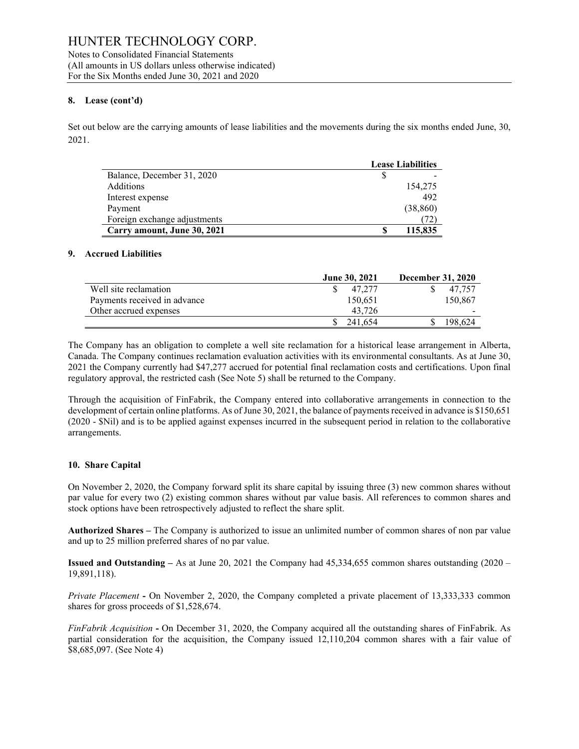Notes to Consolidated Financial Statements (All amounts in US dollars unless otherwise indicated) For the Six Months ended June 30, 2021 and 2020

#### **8. Lease (cont'd)**

Set out below are the carrying amounts of lease liabilities and the movements during the six months ended June, 30, 2021.

|                              | <b>Lease Liabilities</b> |                          |
|------------------------------|--------------------------|--------------------------|
| Balance, December 31, 2020   |                          | $\overline{\phantom{0}}$ |
| <b>Additions</b>             |                          | 154,275                  |
| Interest expense             |                          | 492                      |
| Payment                      |                          | (38, 860)                |
| Foreign exchange adjustments |                          |                          |
| Carry amount, June 30, 2021  |                          | 115,835                  |

#### **9. Accrued Liabilities**

|                              | <b>June 30, 2021</b> | <b>December 31, 2020</b> |
|------------------------------|----------------------|--------------------------|
| Well site reclamation        | 47.277               | 47.757                   |
| Payments received in advance | 150.651              | 150,867                  |
| Other accrued expenses       | 43.726               |                          |
|                              | 241.654              | 198.624                  |

The Company has an obligation to complete a well site reclamation for a historical lease arrangement in Alberta, Canada. The Company continues reclamation evaluation activities with its environmental consultants. As at June 30, 2021 the Company currently had \$47,277 accrued for potential final reclamation costs and certifications. Upon final regulatory approval, the restricted cash (See Note 5) shall be returned to the Company.

Through the acquisition of FinFabrik, the Company entered into collaborative arrangements in connection to the development of certain online platforms. As of June 30, 2021, the balance of payments received in advance is \$150,651 (2020 - \$Nil) and is to be applied against expenses incurred in the subsequent period in relation to the collaborative arrangements.

#### **10. Share Capital**

On November 2, 2020, the Company forward split its share capital by issuing three (3) new common shares without par value for every two (2) existing common shares without par value basis. All references to common shares and stock options have been retrospectively adjusted to reflect the share split.

**Authorized Shares –** The Company is authorized to issue an unlimited number of common shares of non par value and up to 25 million preferred shares of no par value.

**Issued and Outstanding –** As at June 20, 2021 the Company had 45,334,655 common shares outstanding (2020 – 19,891,118).

*Private Placement* **-** On November 2, 2020, the Company completed a private placement of 13,333,333 common shares for gross proceeds of \$1,528,674.

*FinFabrik Acquisition* **-** On December 31, 2020, the Company acquired all the outstanding shares of FinFabrik. As partial consideration for the acquisition, the Company issued 12,110,204 common shares with a fair value of \$8,685,097. (See Note 4)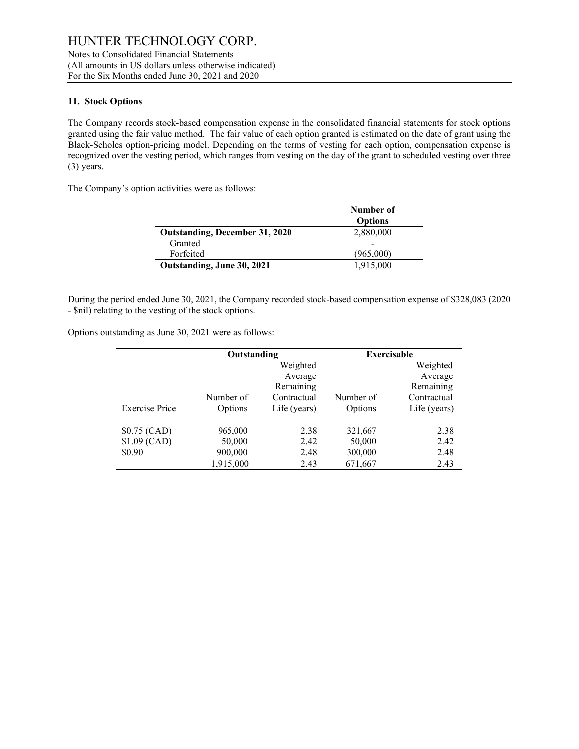#### **11. Stock Options**

The Company records stock-based compensation expense in the consolidated financial statements for stock options granted using the fair value method. The fair value of each option granted is estimated on the date of grant using the Black-Scholes option-pricing model. Depending on the terms of vesting for each option, compensation expense is recognized over the vesting period, which ranges from vesting on the day of the grant to scheduled vesting over three (3) years.

The Company's option activities were as follows:

|                                       | Number of<br><b>Options</b> |
|---------------------------------------|-----------------------------|
| <b>Outstanding, December 31, 2020</b> | 2,880,000                   |
| Granted                               |                             |
| Forfeited                             | (965,000)                   |
| Outstanding, June 30, 2021            | 1,915,000                   |

During the period ended June 30, 2021, the Company recorded stock-based compensation expense of \$328,083 (2020 - \$nil) relating to the vesting of the stock options.

Options outstanding as June 30, 2021 were as follows:

|                       | Outstanding |              | <b>Exercisable</b> |              |
|-----------------------|-------------|--------------|--------------------|--------------|
|                       |             | Weighted     |                    | Weighted     |
|                       |             | Average      |                    | Average      |
|                       |             | Remaining    |                    | Remaining    |
|                       | Number of   | Contractual  | Number of          | Contractual  |
| <b>Exercise Price</b> | Options     | Life (years) | Options            | Life (years) |
|                       |             |              |                    |              |
| $$0.75$ (CAD)         | 965,000     | 2.38         | 321,667            | 2.38         |
| $$1.09$ (CAD)         | 50,000      | 2.42         | 50,000             | 2.42         |
| \$0.90                | 900,000     | 2.48         | 300,000            | 2.48         |
|                       | 1,915,000   | 2.43         | 671,667            | 2.43         |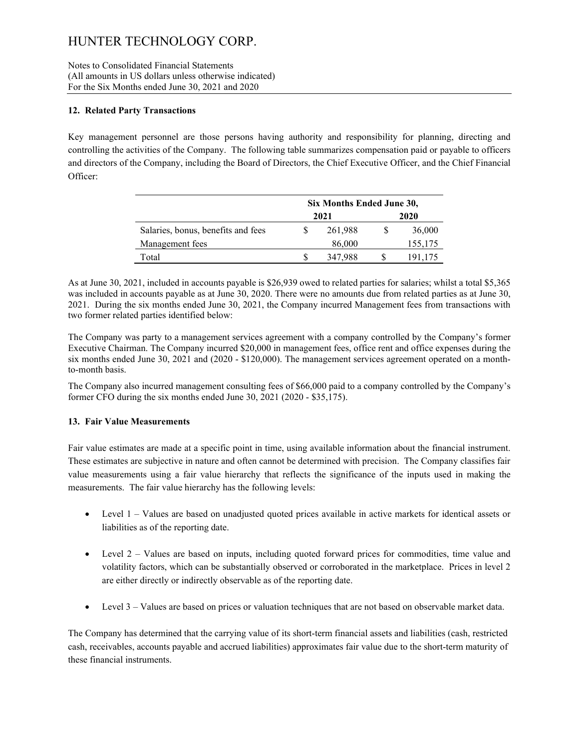Notes to Consolidated Financial Statements (All amounts in US dollars unless otherwise indicated) For the Six Months ended June 30, 2021 and 2020

#### **12. Related Party Transactions**

Key management personnel are those persons having authority and responsibility for planning, directing and controlling the activities of the Company. The following table summarizes compensation paid or payable to officers and directors of the Company, including the Board of Directors, the Chief Executive Officer, and the Chief Financial Officer:

|                                    | Six Months Ended June 30, |         |      |         |
|------------------------------------|---------------------------|---------|------|---------|
|                                    | 2021                      |         | 2020 |         |
| Salaries, bonus, benefits and fees |                           | 261,988 |      | 36,000  |
| Management fees                    |                           | 86,000  |      | 155,175 |
| Total                              |                           | 347.988 |      | 191,175 |

As at June 30, 2021, included in accounts payable is \$26,939 owed to related parties for salaries; whilst a total \$5,365 was included in accounts payable as at June 30, 2020. There were no amounts due from related parties as at June 30, 2021. During the six months ended June 30, 2021, the Company incurred Management fees from transactions with two former related parties identified below:

The Company was party to a management services agreement with a company controlled by the Company's former Executive Chairman. The Company incurred \$20,000 in management fees, office rent and office expenses during the six months ended June 30, 2021 and (2020 - \$120,000). The management services agreement operated on a monthto-month basis.

The Company also incurred management consulting fees of \$66,000 paid to a company controlled by the Company's former CFO during the six months ended June 30, 2021 (2020 - \$35,175).

#### **13. Fair Value Measurements**

Fair value estimates are made at a specific point in time, using available information about the financial instrument. These estimates are subjective in nature and often cannot be determined with precision. The Company classifies fair value measurements using a fair value hierarchy that reflects the significance of the inputs used in making the measurements. The fair value hierarchy has the following levels:

- Level 1 Values are based on unadjusted quoted prices available in active markets for identical assets or liabilities as of the reporting date.
- Level 2 Values are based on inputs, including quoted forward prices for commodities, time value and volatility factors, which can be substantially observed or corroborated in the marketplace. Prices in level 2 are either directly or indirectly observable as of the reporting date.
- Level 3 Values are based on prices or valuation techniques that are not based on observable market data.

The Company has determined that the carrying value of its short-term financial assets and liabilities (cash, restricted cash, receivables, accounts payable and accrued liabilities) approximates fair value due to the short-term maturity of these financial instruments.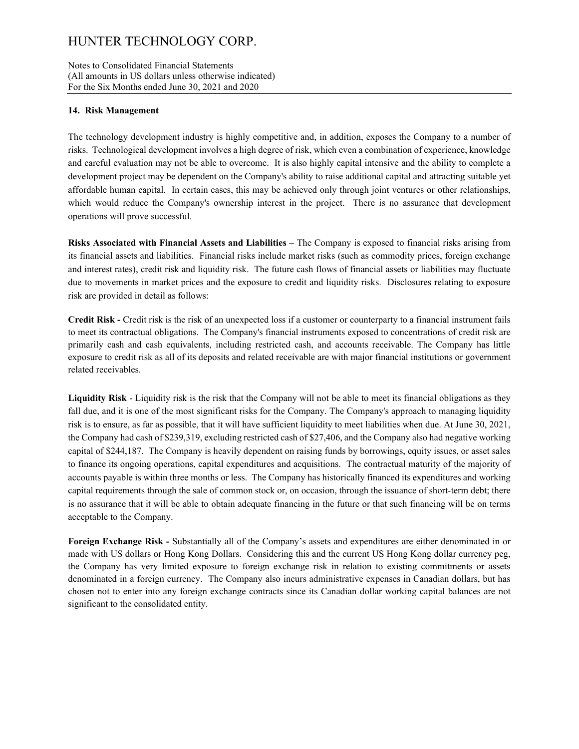Notes to Consolidated Financial Statements (All amounts in US dollars unless otherwise indicated) For the Six Months ended June 30, 2021 and 2020

#### **14. Risk Management**

The technology development industry is highly competitive and, in addition, exposes the Company to a number of risks. Technological development involves a high degree of risk, which even a combination of experience, knowledge and careful evaluation may not be able to overcome. It is also highly capital intensive and the ability to complete a development project may be dependent on the Company's ability to raise additional capital and attracting suitable yet affordable human capital. In certain cases, this may be achieved only through joint ventures or other relationships, which would reduce the Company's ownership interest in the project. There is no assurance that development operations will prove successful.

**Risks Associated with Financial Assets and Liabilities** – The Company is exposed to financial risks arising from its financial assets and liabilities. Financial risks include market risks (such as commodity prices, foreign exchange and interest rates), credit risk and liquidity risk. The future cash flows of financial assets or liabilities may fluctuate due to movements in market prices and the exposure to credit and liquidity risks. Disclosures relating to exposure risk are provided in detail as follows:

**Credit Risk -** Credit risk is the risk of an unexpected loss if a customer or counterparty to a financial instrument fails to meet its contractual obligations. The Company's financial instruments exposed to concentrations of credit risk are primarily cash and cash equivalents, including restricted cash, and accounts receivable. The Company has little exposure to credit risk as all of its deposits and related receivable are with major financial institutions or government related receivables.

**Liquidity Risk** - Liquidity risk is the risk that the Company will not be able to meet its financial obligations as they fall due, and it is one of the most significant risks for the Company. The Company's approach to managing liquidity risk is to ensure, as far as possible, that it will have sufficient liquidity to meet liabilities when due. At June 30, 2021, the Company had cash of \$239,319, excluding restricted cash of \$27,406, and the Company also had negative working capital of \$244,187. The Company is heavily dependent on raising funds by borrowings, equity issues, or asset sales to finance its ongoing operations, capital expenditures and acquisitions. The contractual maturity of the majority of accounts payable is within three months or less. The Company has historically financed its expenditures and working capital requirements through the sale of common stock or, on occasion, through the issuance of short-term debt; there is no assurance that it will be able to obtain adequate financing in the future or that such financing will be on terms acceptable to the Company.

**Foreign Exchange Risk -** Substantially all of the Company's assets and expenditures are either denominated in or made with US dollars or Hong Kong Dollars. Considering this and the current US Hong Kong dollar currency peg, the Company has very limited exposure to foreign exchange risk in relation to existing commitments or assets denominated in a foreign currency. The Company also incurs administrative expenses in Canadian dollars, but has chosen not to enter into any foreign exchange contracts since its Canadian dollar working capital balances are not significant to the consolidated entity.